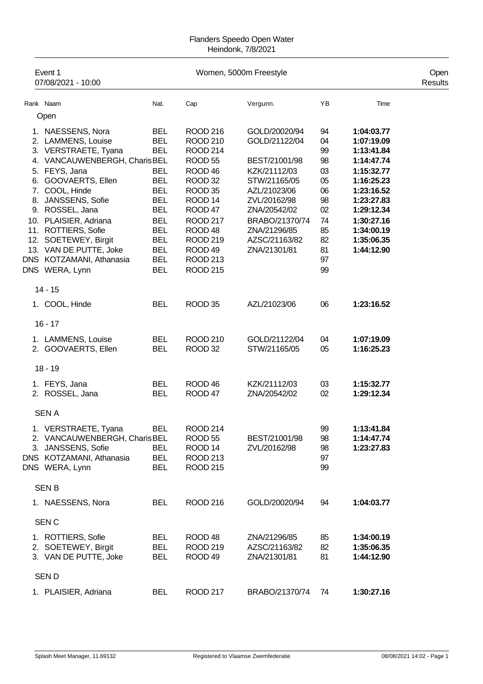## Flanders Speedo Open Water Heindonk, 7/8/2021

| Event 1<br>07/08/2021 - 10:00                                                                                                                                                                                                                                                                                                     |                                                                                                                                                                                    | Women, 5000m Freestyle                                                                                                                                                                                                                                        |                                                                                                                                                                                                    |                                                                                  |                                                                                                                                                                                    | Open<br>Results |
|-----------------------------------------------------------------------------------------------------------------------------------------------------------------------------------------------------------------------------------------------------------------------------------------------------------------------------------|------------------------------------------------------------------------------------------------------------------------------------------------------------------------------------|---------------------------------------------------------------------------------------------------------------------------------------------------------------------------------------------------------------------------------------------------------------|----------------------------------------------------------------------------------------------------------------------------------------------------------------------------------------------------|----------------------------------------------------------------------------------|------------------------------------------------------------------------------------------------------------------------------------------------------------------------------------|-----------------|
| Rank Naam                                                                                                                                                                                                                                                                                                                         | Nat.                                                                                                                                                                               | Cap                                                                                                                                                                                                                                                           | Vergunn.                                                                                                                                                                                           | YB                                                                               | Time                                                                                                                                                                               |                 |
| Open                                                                                                                                                                                                                                                                                                                              |                                                                                                                                                                                    |                                                                                                                                                                                                                                                               |                                                                                                                                                                                                    |                                                                                  |                                                                                                                                                                                    |                 |
| 1. NAESSENS, Nora<br>2. LAMMENS, Louise<br>3. VERSTRAETE, Tyana<br>4. VANCAUWENBERGH, Charis BEL<br>5. FEYS, Jana<br>6. GOOVAERTS, Ellen<br>7. COOL, Hinde<br>8. JANSSENS, Sofie<br>9. ROSSEL, Jana<br>10. PLAISIER, Adriana<br>11. ROTTIERS, Sofie<br>12. SOETEWEY, Birgit<br>13. VAN DE PUTTE, Joke<br>DNS KOTZAMANI, Athanasia | <b>BEL</b><br><b>BEL</b><br><b>BEL</b><br><b>BEL</b><br><b>BEL</b><br><b>BEL</b><br><b>BEL</b><br><b>BEL</b><br><b>BEL</b><br><b>BEL</b><br><b>BEL</b><br><b>BEL</b><br><b>BEL</b> | <b>ROOD 216</b><br><b>ROOD 210</b><br><b>ROOD 214</b><br>ROOD 55<br>ROOD <sub>46</sub><br>ROOD 32<br>ROOD 35<br>ROOD <sub>14</sub><br>ROOD <sub>47</sub><br><b>ROOD 217</b><br>ROOD <sub>48</sub><br><b>ROOD 219</b><br>ROOD <sub>49</sub><br><b>ROOD 213</b> | GOLD/20020/94<br>GOLD/21122/04<br>BEST/21001/98<br>KZK/21112/03<br>STW/21165/05<br>AZL/21023/06<br>ZVL/20162/98<br>ZNA/20542/02<br>BRABO/21370/74<br>ZNA/21296/85<br>AZSC/21163/82<br>ZNA/21301/81 | 94<br>04<br>99<br>98<br>03<br>05<br>06<br>98<br>02<br>74<br>85<br>82<br>81<br>97 | 1:04:03.77<br>1:07:19.09<br>1:13:41.84<br>1:14:47.74<br>1:15:32.77<br>1:16:25.23<br>1:23:16.52<br>1:23:27.83<br>1:29:12.34<br>1:30:27.16<br>1:34:00.19<br>1:35:06.35<br>1:44:12.90 |                 |
| DNS WERA, Lynn                                                                                                                                                                                                                                                                                                                    | <b>BEL</b>                                                                                                                                                                         | <b>ROOD 215</b>                                                                                                                                                                                                                                               |                                                                                                                                                                                                    | 99                                                                               |                                                                                                                                                                                    |                 |
| $14 - 15$                                                                                                                                                                                                                                                                                                                         |                                                                                                                                                                                    |                                                                                                                                                                                                                                                               |                                                                                                                                                                                                    |                                                                                  |                                                                                                                                                                                    |                 |
| 1. COOL, Hinde                                                                                                                                                                                                                                                                                                                    | <b>BEL</b>                                                                                                                                                                         | ROOD 35                                                                                                                                                                                                                                                       | AZL/21023/06                                                                                                                                                                                       | 06                                                                               | 1:23:16.52                                                                                                                                                                         |                 |
| $16 - 17$                                                                                                                                                                                                                                                                                                                         |                                                                                                                                                                                    |                                                                                                                                                                                                                                                               |                                                                                                                                                                                                    |                                                                                  |                                                                                                                                                                                    |                 |
| 1. LAMMENS, Louise<br>2. GOOVAERTS, Ellen                                                                                                                                                                                                                                                                                         | <b>BEL</b><br><b>BEL</b>                                                                                                                                                           | <b>ROOD 210</b><br>ROOD 32                                                                                                                                                                                                                                    | GOLD/21122/04<br>STW/21165/05                                                                                                                                                                      | 04<br>05                                                                         | 1:07:19.09<br>1:16:25.23                                                                                                                                                           |                 |
| $18 - 19$                                                                                                                                                                                                                                                                                                                         |                                                                                                                                                                                    |                                                                                                                                                                                                                                                               |                                                                                                                                                                                                    |                                                                                  |                                                                                                                                                                                    |                 |
| 1. FEYS, Jana<br>2. ROSSEL, Jana                                                                                                                                                                                                                                                                                                  | <b>BEL</b><br><b>BEL</b>                                                                                                                                                           | ROOD <sub>46</sub><br>ROOD <sub>47</sub>                                                                                                                                                                                                                      | KZK/21112/03<br>ZNA/20542/02                                                                                                                                                                       | 03<br>02                                                                         | 1:15:32.77<br>1:29:12.34                                                                                                                                                           |                 |
| <b>SENA</b>                                                                                                                                                                                                                                                                                                                       |                                                                                                                                                                                    |                                                                                                                                                                                                                                                               |                                                                                                                                                                                                    |                                                                                  |                                                                                                                                                                                    |                 |
| 1. VERSTRAETE, Tyana<br>2. VANCAUWENBERGH, Charis BEL<br>3. JANSSENS, Sofie<br>DNS KOTZAMANI, Athanasia<br>DNS WERA, Lynn                                                                                                                                                                                                         | <b>BEL</b><br><b>BEL</b><br><b>BEL</b><br><b>BEL</b>                                                                                                                               | <b>ROOD 214</b><br>ROOD <sub>55</sub><br>ROOD 14<br>ROOD 213<br><b>ROOD 215</b>                                                                                                                                                                               | BEST/21001/98<br>ZVL/20162/98                                                                                                                                                                      | 99<br>98<br>98<br>97<br>99                                                       | 1:13:41.84<br>1:14:47.74<br>1:23:27.83                                                                                                                                             |                 |
| <b>SENB</b>                                                                                                                                                                                                                                                                                                                       |                                                                                                                                                                                    |                                                                                                                                                                                                                                                               |                                                                                                                                                                                                    |                                                                                  |                                                                                                                                                                                    |                 |
| 1. NAESSENS, Nora                                                                                                                                                                                                                                                                                                                 | <b>BEL</b>                                                                                                                                                                         | <b>ROOD 216</b>                                                                                                                                                                                                                                               | GOLD/20020/94                                                                                                                                                                                      | 94                                                                               | 1:04:03.77                                                                                                                                                                         |                 |
| SEN <sub>C</sub>                                                                                                                                                                                                                                                                                                                  |                                                                                                                                                                                    |                                                                                                                                                                                                                                                               |                                                                                                                                                                                                    |                                                                                  |                                                                                                                                                                                    |                 |
| 1. ROTTIERS, Sofie<br>2. SOETEWEY, Birgit<br>3. VAN DE PUTTE, Joke                                                                                                                                                                                                                                                                | <b>BEL</b><br><b>BEL</b><br><b>BEL</b>                                                                                                                                             | ROOD <sub>48</sub><br><b>ROOD 219</b><br>ROOD <sub>49</sub>                                                                                                                                                                                                   | ZNA/21296/85<br>AZSC/21163/82<br>ZNA/21301/81                                                                                                                                                      | 85<br>82<br>81                                                                   | 1:34:00.19<br>1:35:06.35<br>1:44:12.90                                                                                                                                             |                 |
| <b>SEND</b>                                                                                                                                                                                                                                                                                                                       |                                                                                                                                                                                    |                                                                                                                                                                                                                                                               |                                                                                                                                                                                                    |                                                                                  |                                                                                                                                                                                    |                 |
| 1. PLAISIER, Adriana                                                                                                                                                                                                                                                                                                              | <b>BEL</b>                                                                                                                                                                         | <b>ROOD 217</b>                                                                                                                                                                                                                                               | BRABO/21370/74                                                                                                                                                                                     | 74                                                                               | 1:30:27.16                                                                                                                                                                         |                 |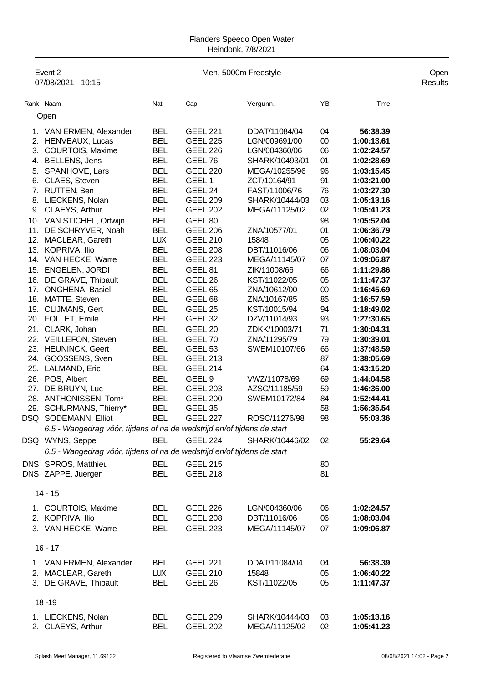## Flanders Speedo Open Water Heindonk, 7/8/2021

|     | Event 2<br>07/08/2021 - 10:15                                           |                          |                            | Men, 5000m Freestyle |              |                          | Open<br>Results |
|-----|-------------------------------------------------------------------------|--------------------------|----------------------------|----------------------|--------------|--------------------------|-----------------|
|     | Rank Naam                                                               | Nat.                     | Cap                        | Vergunn.             | YB           | Time                     |                 |
|     | Open                                                                    |                          |                            |                      |              |                          |                 |
|     |                                                                         | <b>BEL</b>               | <b>GEEL 221</b>            | DDAT/11084/04        |              | 56:38.39                 |                 |
|     | 1. VAN ERMEN, Alexander<br>2. HENVEAUX, Lucas                           | <b>BEL</b>               | <b>GEEL 225</b>            | LGN/009691/00        | 04<br>$00\,$ | 1:00:13.61               |                 |
| 3.  | COURTOIS, Maxime                                                        | <b>BEL</b>               | <b>GEEL 226</b>            | LGN/004360/06        | 06           | 1:02:24.57               |                 |
| 4.  | <b>BELLENS, Jens</b>                                                    | <b>BEL</b>               | GEEL 76                    | SHARK/10493/01       | 01           | 1:02:28.69               |                 |
| 5.  | SPANHOVE, Lars                                                          | <b>BEL</b>               | <b>GEEL 220</b>            | MEGA/10255/96        | 96           | 1:03:15.45               |                 |
| 6.  | CLAES, Steven                                                           | <b>BEL</b>               | GEEL <sub>1</sub>          | ZCT/10164/91         | 91           | 1:03:21.00               |                 |
| 7.  | RUTTEN, Ben                                                             | <b>BEL</b>               | GEEL 24                    | FAST/11006/76        | 76           | 1:03:27.30               |                 |
| 8.  | LIECKENS, Nolan                                                         | <b>BEL</b>               | <b>GEEL 209</b>            | SHARK/10444/03       | 03           | 1:05:13.16               |                 |
| 9.  | CLAEYS, Arthur                                                          | <b>BEL</b>               | <b>GEEL 202</b>            | MEGA/11125/02        | 02           | 1:05:41.23               |                 |
| 10. | VAN STICHEL, Ortwijn                                                    | <b>BEL</b>               | GEEL 80                    |                      | 98           | 1:05:52.04               |                 |
| 11. | DE SCHRYVER, Noah                                                       | <b>BEL</b>               | <b>GEEL 206</b>            | ZNA/10577/01         | 01           | 1:06:36.79               |                 |
|     | 12. MACLEAR, Gareth                                                     | <b>LUX</b>               | <b>GEEL 210</b>            | 15848                | 05           | 1:06:40.22               |                 |
|     | 13. KOPRIVA, Ilio                                                       | <b>BEL</b>               | <b>GEEL 208</b>            | DBT/11016/06         | 06           | 1:08:03.04               |                 |
|     | 14. VAN HECKE, Warre                                                    | <b>BEL</b>               | <b>GEEL 223</b>            | MEGA/11145/07        | 07           | 1:09:06.87               |                 |
|     | 15. ENGELEN, JORDI                                                      | <b>BEL</b>               | GEEL 81                    | ZIK/11008/66         | 66           | 1:11:29.86               |                 |
|     | 16. DE GRAVE, Thibault                                                  | <b>BEL</b>               | GEEL 26                    | KST/11022/05         | 05           | 1:11:47.37               |                 |
| 17. | ONGHENA, Basiel                                                         | <b>BEL</b>               | GEEL <sub>65</sub>         | ZNA/10612/00         | $00\,$       | 1:16:45.69               |                 |
|     | 18. MATTE, Steven                                                       | <b>BEL</b>               | GEEL <sub>68</sub>         | ZNA/10167/85         | 85           | 1:16:57.59               |                 |
|     | 19. CLIJMANS, Gert                                                      | <b>BEL</b>               | GEEL <sub>25</sub>         | KST/10015/94         | 94           | 1:18:49.02               |                 |
|     | 20. FOLLET, Emile                                                       | <b>BEL</b>               | GEEL 32                    | DZV/11014/93         | 93           | 1:27:30.65               |                 |
| 21. | CLARK, Johan                                                            | <b>BEL</b>               | GEEL <sub>20</sub>         | ZDKK/10003/71        | 71           | 1:30:04.31               |                 |
|     | 22. VEILLEFON, Steven                                                   | <b>BEL</b>               | GEEL 70                    | ZNA/11295/79         | 79<br>66     | 1:30:39.01               |                 |
| 24. | 23. HEUNINCK, Geert<br>GOOSSENS, Sven                                   | <b>BEL</b><br><b>BEL</b> | GEEL 53<br><b>GEEL 213</b> | SWEM10107/66         | 87           | 1:37:48.59<br>1:38:05.69 |                 |
| 25. | LALMAND, Eric                                                           | <b>BEL</b>               | <b>GEEL 214</b>            |                      | 64           | 1:43:15.20               |                 |
|     | 26. POS, Albert                                                         | <b>BEL</b>               | GEEL <sub>9</sub>          | VWZ/11078/69         | 69           | 1:44:04.58               |                 |
| 27. | DE BRUYN, Luc                                                           | <b>BEL</b>               | <b>GEEL 203</b>            | AZSC/11185/59        | 59           | 1:46:36.00               |                 |
|     | 28. ANTHONISSEN, Tom*                                                   | <b>BEL</b>               | <b>GEEL 200</b>            | SWEM10172/84         | 84           | 1:52:44.41               |                 |
| 29. | SCHURMANS, Thierry*                                                     | <b>BEL</b>               | GEEL 35                    |                      | 58           | 1:56:35.54               |                 |
|     | DSQ SODEMANN, Elliot                                                    | BEL                      | <b>GEEL 227</b>            | ROSC/11276/98        | 98           | 55:03.36                 |                 |
|     | 6.5 - Wangedrag vóór, tijdens of na de wedstrijd en/of tijdens de start |                          |                            |                      |              |                          |                 |
|     | DSQ WYNS, Seppe                                                         | <b>BEL</b>               | <b>GEEL 224</b>            | SHARK/10446/02       | 02           | 55:29.64                 |                 |
|     | 6.5 - Wangedrag vóór, tijdens of na de wedstrijd en/of tijdens de start |                          |                            |                      |              |                          |                 |
|     | DNS SPROS, Matthieu                                                     | <b>BEL</b>               | <b>GEEL 215</b>            |                      | 80           |                          |                 |
|     | DNS ZAPPE, Juergen                                                      | <b>BEL</b>               | <b>GEEL 218</b>            |                      | 81           |                          |                 |
|     | $14 - 15$                                                               |                          |                            |                      |              |                          |                 |
|     | 1. COURTOIS, Maxime                                                     | <b>BEL</b>               | <b>GEEL 226</b>            | LGN/004360/06        | 06           | 1:02:24.57               |                 |
|     | 2. KOPRIVA, Ilio                                                        | <b>BEL</b>               | <b>GEEL 208</b>            | DBT/11016/06         | 06           | 1:08:03.04               |                 |
|     | 3. VAN HECKE, Warre                                                     | <b>BEL</b>               | <b>GEEL 223</b>            | MEGA/11145/07        | 07           | 1:09:06.87               |                 |
|     | $16 - 17$                                                               |                          |                            |                      |              |                          |                 |
|     | 1. VAN ERMEN, Alexander                                                 | <b>BEL</b>               | <b>GEEL 221</b>            | DDAT/11084/04        | 04           | 56:38.39                 |                 |
|     | 2. MACLEAR, Gareth                                                      | <b>LUX</b>               | <b>GEEL 210</b>            | 15848                | 05           | 1:06:40.22               |                 |
|     | 3. DE GRAVE, Thibault                                                   | <b>BEL</b>               | GEEL 26                    | KST/11022/05         | 05           | 1:11:47.37               |                 |
|     | $18 - 19$                                                               |                          |                            |                      |              |                          |                 |
|     | 1. LIECKENS, Nolan                                                      | <b>BEL</b>               | <b>GEEL 209</b>            | SHARK/10444/03       | 03           | 1:05:13.16               |                 |
|     | 2. CLAEYS, Arthur                                                       | <b>BEL</b>               | <b>GEEL 202</b>            | MEGA/11125/02        | 02           | 1:05:41.23               |                 |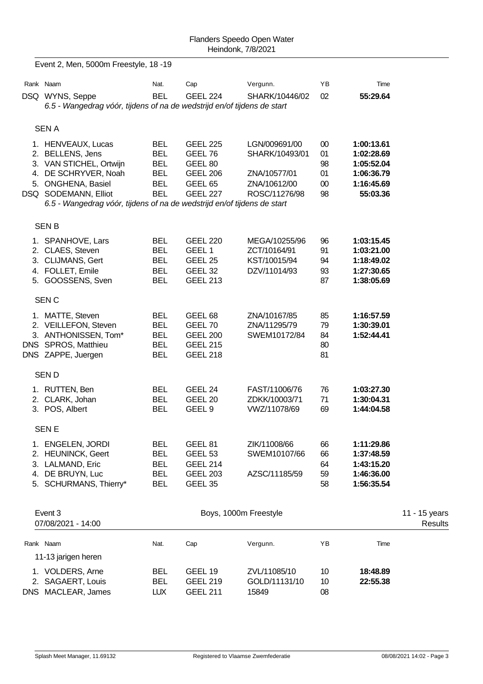|          | Event 2, Men, 5000m Freestyle, 18 -19                                                                                                                                                                              |                                                                                  |                                                                                                   |                                                                                  |                                          |                                                                                |                          |
|----------|--------------------------------------------------------------------------------------------------------------------------------------------------------------------------------------------------------------------|----------------------------------------------------------------------------------|---------------------------------------------------------------------------------------------------|----------------------------------------------------------------------------------|------------------------------------------|--------------------------------------------------------------------------------|--------------------------|
|          | Rank Naam                                                                                                                                                                                                          | Nat.                                                                             | Cap                                                                                               | Vergunn.                                                                         | YB                                       | Time                                                                           |                          |
|          | DSQ WYNS, Seppe<br>6.5 - Wangedrag vóór, tijdens of na de wedstrijd en/of tijdens de start                                                                                                                         | BEL                                                                              | <b>GEEL 224</b>                                                                                   | SHARK/10446/02                                                                   | 02                                       | 55:29.64                                                                       |                          |
|          | <b>SENA</b>                                                                                                                                                                                                        |                                                                                  |                                                                                                   |                                                                                  |                                          |                                                                                |                          |
|          | 1. HENVEAUX, Lucas<br>2. BELLENS, Jens<br>3. VAN STICHEL, Ortwijn<br>4. DE SCHRYVER, Noah<br>5. ONGHENA, Basiel<br>DSQ SODEMANN, Elliot<br>6.5 - Wangedrag vóór, tijdens of na de wedstrijd en/of tijdens de start | <b>BEL</b><br><b>BEL</b><br><b>BEL</b><br><b>BEL</b><br><b>BEL</b><br><b>BEL</b> | <b>GEEL 225</b><br>GEEL 76<br>GEEL 80<br><b>GEEL 206</b><br>GEEL <sub>65</sub><br><b>GEEL 227</b> | LGN/009691/00<br>SHARK/10493/01<br>ZNA/10577/01<br>ZNA/10612/00<br>ROSC/11276/98 | $00\,$<br>01<br>98<br>01<br>$00\,$<br>98 | 1:00:13.61<br>1:02:28.69<br>1:05:52.04<br>1:06:36.79<br>1:16:45.69<br>55:03.36 |                          |
|          | <b>SENB</b>                                                                                                                                                                                                        |                                                                                  |                                                                                                   |                                                                                  |                                          |                                                                                |                          |
|          | 1. SPANHOVE, Lars<br>2. CLAES, Steven<br>3. CLIJMANS, Gert<br>4. FOLLET, Emile<br>5. GOOSSENS, Sven                                                                                                                | <b>BEL</b><br><b>BEL</b><br><b>BEL</b><br><b>BEL</b><br><b>BEL</b>               | <b>GEEL 220</b><br>GEEL 1<br>GEEL 25<br>GEEL 32<br><b>GEEL 213</b>                                | MEGA/10255/96<br>ZCT/10164/91<br>KST/10015/94<br>DZV/11014/93                    | 96<br>91<br>94<br>93<br>87               | 1:03:15.45<br>1:03:21.00<br>1:18:49.02<br>1:27:30.65<br>1:38:05.69             |                          |
|          | <b>SENC</b>                                                                                                                                                                                                        |                                                                                  |                                                                                                   |                                                                                  |                                          |                                                                                |                          |
|          | 1. MATTE, Steven<br>2. VEILLEFON, Steven<br>3. ANTHONISSEN, Tom*<br>DNS SPROS, Matthieu<br>DNS ZAPPE, Juergen                                                                                                      | <b>BEL</b><br><b>BEL</b><br><b>BEL</b><br><b>BEL</b><br><b>BEL</b>               | GEEL <sub>68</sub><br>GEEL 70<br><b>GEEL 200</b><br><b>GEEL 215</b><br><b>GEEL 218</b>            | ZNA/10167/85<br>ZNA/11295/79<br>SWEM10172/84                                     | 85<br>79<br>84<br>80<br>81               | 1:16:57.59<br>1:30:39.01<br>1:52:44.41                                         |                          |
|          | <b>SEND</b>                                                                                                                                                                                                        |                                                                                  |                                                                                                   |                                                                                  |                                          |                                                                                |                          |
|          | 1. RUTTEN, Ben<br>2. CLARK, Johan<br>3. POS, Albert                                                                                                                                                                | BEL<br><b>BEL</b><br><b>BEL</b>                                                  | GEEL 24<br>GEEL 20<br>GEEL <sub>9</sub>                                                           | FAST/11006/76<br>ZDKK/10003/71<br>VWZ/11078/69                                   | 76<br>71<br>69                           | 1:03:27.30<br>1:30:04.31<br>1:44:04.58                                         |                          |
|          | <b>SEN E</b>                                                                                                                                                                                                       |                                                                                  |                                                                                                   |                                                                                  |                                          |                                                                                |                          |
| 3.<br>4. | 1. ENGELEN, JORDI<br>2. HEUNINCK, Geert<br>LALMAND, Eric<br>DE BRUYN, Luc<br>5. SCHURMANS, Thierry*                                                                                                                | <b>BEL</b><br><b>BEL</b><br><b>BEL</b><br><b>BEL</b><br><b>BEL</b>               | GEEL 81<br>GEEL <sub>53</sub><br><b>GEEL 214</b><br><b>GEEL 203</b><br>GEEL 35                    | ZIK/11008/66<br>SWEM10107/66<br>AZSC/11185/59                                    | 66<br>66<br>64<br>59<br>58               | 1:11:29.86<br>1:37:48.59<br>1:43:15.20<br>1:46:36.00<br>1:56:35.54             |                          |
|          | Event 3<br>07/08/2021 - 14:00                                                                                                                                                                                      |                                                                                  | Boys, 1000m Freestyle                                                                             |                                                                                  |                                          |                                                                                | 11 - 15 years<br>Results |
|          | Rank Naam<br>11-13 jarigen heren                                                                                                                                                                                   | Nat.                                                                             | Cap                                                                                               | Vergunn.                                                                         | YB                                       | Time                                                                           |                          |
|          | 1. VOLDERS, Arne<br>2. SAGAERT, Louis<br>DNS MACLEAR, James                                                                                                                                                        | <b>BEL</b><br><b>BEL</b><br><b>LUX</b>                                           | GEEL 19<br><b>GEEL 219</b><br><b>GEEL 211</b>                                                     | ZVL/11085/10<br>GOLD/11131/10<br>15849                                           | 10<br>10<br>08                           | 18:48.89<br>22:55.38                                                           |                          |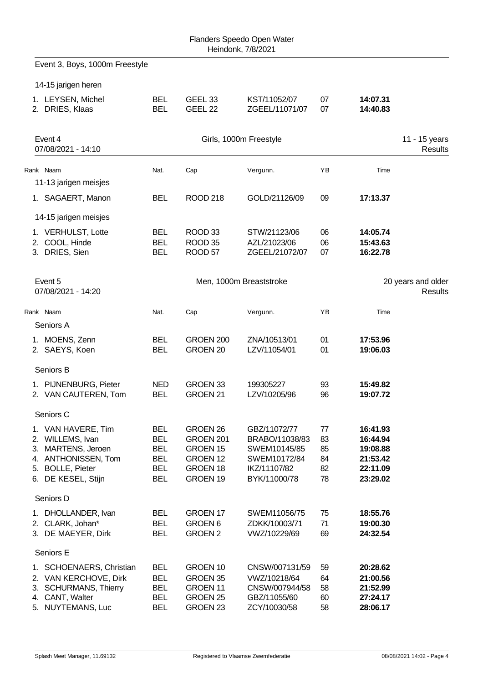Event 3, Boys, 1000m Freestyle 14-15 jarigen heren 1. LEYSEN, Michel BEL GEEL 33 KST/11052/07 07 **14:07.31** 2. DRIES, Klaas BEL GEEL 22 ZGEEL/11071/07 07 **14:40.83** Event 4 Girls, 1000m Freestyle 11 - 15 years 07/08/2021 - 14:10 Results Rank Naam Nat. Nat. Cap Vergunn. YB Time 11-13 jarigen meisjes 1. SAGAERT, Manon BEL ROOD 218 GOLD/21126/09 09 **17:13.37** 14-15 jarigen meisjes 1. VERHULST, Lotte BEL ROOD 33 STW/21123/06 06 **14:05.74** 2. COOL, Hinde BEL ROOD 35 AZL/21023/06 06 **15:43.63** 3. DRIES, Sien BEL ROOD 57 ZGEEL/21072/07 07 **16:22.78** Event 5 **Men, 1000m Breaststroke** 20 years and older 07/08/2021 - 14:20 Results Rank Naam Nat. Cap Vergunn. YB Time Seniors A 1. MOENS, Zenn BEL GROEN 200 ZNA/10513/01 01 **17:53.96** 2. SAEYS, Koen BEL GROEN 20 LZV/11054/01 01 **19:06.03** Seniors B 1. PIJNENBURG, Pieter NED GROEN 33 199305227 93 **15:49.82** 2. VAN CAUTEREN, Tom BEL GROEN 21 LZV/10205/96 96 **19:07.72** Seniors C 1. VAN HAVERE, Tim BEL GROEN 26 GBZ/11072/77 77 **16:41.93** 2. WILLEMS, Ivan BEL GROEN 201 BRABO/11038/83 83 **16:44.94** 3. MARTENS, Jeroen BEL GROEN 15 SWEM10145/85 85 **19:08.88** 4. ANTHONISSEN, Tom BEL GROEN 12 SWEM10172/84 84 **21:53.42** 5. BOLLE, Pieter BEL GROEN 18 IKZ/11107/82 82 **22:11.09** 6. DE KESEL, Stijn BEL GROEN 19 BYK/11000/78 78 **23:29.02** Seniors D 1. DHOLLANDER, Ivan BEL GROEN 17 SWEM11056/75 75 **18:55.76** 2. CLARK, Johan\* BEL GROEN 6 ZDKK/10003/71 71 **19:00.30** 3. DE MAEYER, Dirk BEL GROEN 2 VWZ/10229/69 69 **24:32.54** Seniors E 1. SCHOENAERS, Christian BEL GROEN 10 CNSW/007131/59 59 **20:28.62** 2. VAN KERCHOVE, Dirk BEL GROEN 35 VWZ/10218/64 64 **21:00.56** 3. SCHURMANS, Thierry BEL GROEN 11 CNSW/007944/58 58 **21:52.99** 4. CANT, Walter BEL GROEN 25 GBZ/11055/60 60 **27:24.17** 5. NUYTEMANS, Luc BEL GROEN 23 ZCY/10030/58 58 **28:06.17**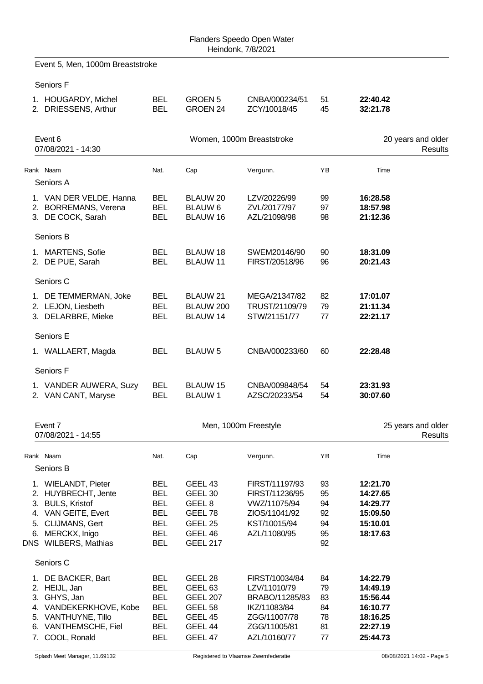|    | Event 5, Men, 1000m Breaststroke                                                                                                                    |                                                                                                |                                                                                             |                                                                                                   |                                        |                                                                      |                                      |
|----|-----------------------------------------------------------------------------------------------------------------------------------------------------|------------------------------------------------------------------------------------------------|---------------------------------------------------------------------------------------------|---------------------------------------------------------------------------------------------------|----------------------------------------|----------------------------------------------------------------------|--------------------------------------|
|    | Seniors F                                                                                                                                           |                                                                                                |                                                                                             |                                                                                                   |                                        |                                                                      |                                      |
|    | 1. HOUGARDY, Michel<br>2. DRIESSENS, Arthur                                                                                                         | <b>BEL</b><br><b>BEL</b>                                                                       | GROEN <sub>5</sub><br>GROEN 24                                                              | CNBA/000234/51<br>ZCY/10018/45                                                                    | 51<br>45                               | 22:40.42<br>32:21.78                                                 |                                      |
|    | Event 6<br>07/08/2021 - 14:30                                                                                                                       |                                                                                                |                                                                                             | Women, 1000m Breaststroke                                                                         |                                        |                                                                      | 20 years and older<br>Results        |
|    | Rank Naam                                                                                                                                           | Nat.                                                                                           | Cap                                                                                         | Vergunn.                                                                                          | YB                                     | Time                                                                 |                                      |
|    | Seniors A                                                                                                                                           |                                                                                                |                                                                                             |                                                                                                   |                                        |                                                                      |                                      |
|    | 1. VAN DER VELDE, Hanna<br>2. BORREMANS, Verena<br>3. DE COCK, Sarah                                                                                | <b>BEL</b><br><b>BEL</b><br><b>BEL</b>                                                         | <b>BLAUW 20</b><br><b>BLAUW 6</b><br>BLAUW 16                                               | LZV/20226/99<br>ZVL/20177/97<br>AZL/21098/98                                                      | 99<br>97<br>98                         | 16:28.58<br>18:57.98<br>21:12.36                                     |                                      |
|    | Seniors B                                                                                                                                           |                                                                                                |                                                                                             |                                                                                                   |                                        |                                                                      |                                      |
|    | 1. MARTENS, Sofie<br>2. DE PUE, Sarah                                                                                                               | <b>BEL</b><br><b>BEL</b>                                                                       | <b>BLAUW 18</b><br><b>BLAUW 11</b>                                                          | SWEM20146/90<br>FIRST/20518/96                                                                    | 90<br>96                               | 18:31.09<br>20:21.43                                                 |                                      |
|    | Seniors C                                                                                                                                           |                                                                                                |                                                                                             |                                                                                                   |                                        |                                                                      |                                      |
|    | 1. DE TEMMERMAN, Joke<br>2. LEJON, Liesbeth<br>3. DELARBRE, Mieke                                                                                   | <b>BEL</b><br><b>BEL</b><br><b>BEL</b>                                                         | BLAUW 21<br>BLAUW 200<br><b>BLAUW 14</b>                                                    | MEGA/21347/82<br>TRUST/21109/79<br>STW/21151/77                                                   | 82<br>79<br>77                         | 17:01.07<br>21:11.34<br>22:21.17                                     |                                      |
|    | Seniors E                                                                                                                                           |                                                                                                |                                                                                             |                                                                                                   |                                        |                                                                      |                                      |
|    | 1. WALLAERT, Magda                                                                                                                                  | <b>BEL</b>                                                                                     | <b>BLAUW 5</b>                                                                              | CNBA/000233/60                                                                                    | 60                                     | 22:28.48                                                             |                                      |
|    | Seniors F                                                                                                                                           |                                                                                                |                                                                                             |                                                                                                   |                                        |                                                                      |                                      |
|    | 1. VANDER AUWERA, Suzy<br>2. VAN CANT, Maryse                                                                                                       | <b>BEL</b><br><b>BEL</b>                                                                       | <b>BLAUW 15</b><br><b>BLAUW1</b>                                                            | CNBA/009848/54<br>AZSC/20233/54                                                                   | 54<br>54                               | 23:31.93<br>30:07.60                                                 |                                      |
|    | Event 7<br>07/08/2021 - 14:55                                                                                                                       |                                                                                                |                                                                                             | Men, 1000m Freestyle                                                                              |                                        |                                                                      | 25 years and older<br><b>Results</b> |
|    | Rank Naam                                                                                                                                           | Nat.                                                                                           | Cap                                                                                         | Vergunn.                                                                                          | YB                                     | Time                                                                 |                                      |
|    | Seniors B                                                                                                                                           |                                                                                                |                                                                                             |                                                                                                   |                                        |                                                                      |                                      |
| 5. | 1. WIELANDT, Pieter<br>2. HUYBRECHT, Jente<br>3. BULS, Kristof<br>4. VAN GEITE, Evert<br>CLIJMANS, Gert<br>6. MERCKX, Inigo<br>DNS WILBERS, Mathias | <b>BEL</b><br><b>BEL</b><br><b>BEL</b><br><b>BEL</b><br><b>BEL</b><br><b>BEL</b><br><b>BEL</b> | GEEL 43<br>GEEL 30<br>GEEL <sub>8</sub><br>GEEL 78<br>GEEL 25<br>GEEL 46<br><b>GEEL 217</b> | FIRST/11197/93<br>FIRST/11236/95<br>VWZ/11075/94<br>ZIOS/11041/92<br>KST/10015/94<br>AZL/11080/95 | 93<br>95<br>94<br>92<br>94<br>95<br>92 | 12:21.70<br>14:27.65<br>14:29.77<br>15:09.50<br>15:10.01<br>18:17.63 |                                      |
|    | Seniors C                                                                                                                                           |                                                                                                |                                                                                             |                                                                                                   |                                        |                                                                      |                                      |
|    | 1. DE BACKER, Bart<br>2. HEIJL, Jan<br>3. GHYS, Jan<br>4. VANDEKERKHOVE, Kobe<br>5. VANTHUYNE, Tillo<br>6. VANTHEMSCHE, Fiel                        | <b>BEL</b><br><b>BEL</b><br><b>BEL</b><br><b>BEL</b><br><b>BEL</b><br>BEL                      | GEEL 28<br>GEEL <sub>63</sub><br><b>GEEL 207</b><br>GEEL 58<br>GEEL 45<br>GEEL 44           | FIRST/10034/84<br>LZV/11010/79<br>BRABO/11285/83<br>IKZ/11083/84<br>ZGG/11007/78<br>ZGG/11005/81  | 84<br>79<br>83<br>84<br>78<br>81       | 14:22.79<br>14:49.19<br>15:56.44<br>16:10.77<br>18:16.25<br>22:27.19 |                                      |
|    | 7. COOL, Ronald                                                                                                                                     | <b>BEL</b>                                                                                     | GEEL 47                                                                                     | AZL/10160/77                                                                                      | 77                                     | 25:44.73                                                             |                                      |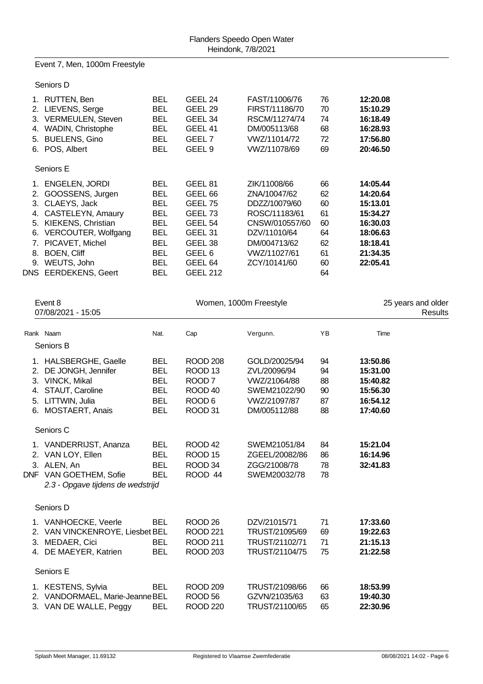Event 7, Men, 1000m Freestyle

Seniors D

|    | 1. RUTTEN, Ben           | <b>BEL</b> | GEEL 24            | FAST/11006/76  | 76 | 12:20.08 |
|----|--------------------------|------------|--------------------|----------------|----|----------|
|    | 2. LIEVENS, Serge        | <b>BEL</b> | GEEL <sub>29</sub> | FIRST/11186/70 | 70 | 15:10.29 |
| 3. | <b>VERMEULEN, Steven</b> | <b>BEL</b> | GEEL 34            | RSCM/11274/74  | 74 | 16:18.49 |
| 4. | WADIN, Christophe        | <b>BEL</b> | GEEL 41            | DM/005113/68   | 68 | 16:28.93 |
| 5. | <b>BUELENS, Gino</b>     | <b>BEL</b> | GEEL <sub>7</sub>  | VWZ/11014/72   | 72 | 17:56.80 |
|    | 6. POS, Albert           | BEL        | GEEL <sub>9</sub>  | VWZ/11078/69   | 69 | 20:46.50 |
|    | Seniors E                |            |                    |                |    |          |
| 1. | <b>ENGELEN, JORDI</b>    | <b>BEL</b> | GEEL <sub>81</sub> | ZIK/11008/66   | 66 | 14:05.44 |
| 2. | GOOSSENS, Jurgen         | <b>BEL</b> | GEEL <sub>66</sub> | ZNA/10047/62   | 62 | 14:20.64 |
|    | 3. CLAEYS, Jack          | <b>BEL</b> | GEEL 75            | DDZZ/10079/60  | 60 | 15:13.01 |
| 4. | CASTELEYN, Amaury        | <b>BEL</b> | GEEL <sub>73</sub> | ROSC/11183/61  | 61 | 15:34.27 |
|    | 5. KIEKENS, Christian    | <b>BEL</b> | GEEL <sub>54</sub> | CNSW/010557/60 | 60 | 16:30.03 |
| 6. | VERCOUTER, Wolfgang      | BEL        | GEEL 31            | DZV/11010/64   | 64 | 18:06.63 |
|    | 7. PICAVET, Michel       | <b>BEL</b> | GEEL 38            | DM/004713/62   | 62 | 18:18.41 |
| 8. | <b>BOEN, Cliff</b>       | <b>BEL</b> | GEEL <sub>6</sub>  | VWZ/11027/61   | 61 | 21:34.35 |
| 9. | WEUTS, John              | <b>BEL</b> | GEEL <sub>64</sub> | ZCY/10141/60   | 60 | 22:05.41 |
|    | DNS EERDEKENS, Geert     | BEL        | <b>GEEL 212</b>    |                | 64 |          |
|    |                          |            |                    |                |    |          |

| Event 8<br>07/08/2021 - 15:05 |                                                                                                                           |                                                                                  |                                                                                                                      | Women, 1000m Freestyle                                                                        |                                  | 25 years and older<br>Results                                        |  |
|-------------------------------|---------------------------------------------------------------------------------------------------------------------------|----------------------------------------------------------------------------------|----------------------------------------------------------------------------------------------------------------------|-----------------------------------------------------------------------------------------------|----------------------------------|----------------------------------------------------------------------|--|
|                               | Rank Naam                                                                                                                 | Nat.                                                                             | Cap                                                                                                                  | Vergunn.                                                                                      | YB                               | Time                                                                 |  |
|                               | Seniors B                                                                                                                 |                                                                                  |                                                                                                                      |                                                                                               |                                  |                                                                      |  |
| 2.<br>5.<br>6.                | 1. HALSBERGHE, Gaelle<br>DE JONGH, Jennifer<br>3. VINCK, Mikal<br>4. STAUT, Caroline<br>LITTWIN, Julia<br>MOSTAERT, Anais | <b>BEL</b><br><b>BEL</b><br><b>BEL</b><br><b>BEL</b><br><b>BEL</b><br><b>BEL</b> | ROOD <sub>208</sub><br>ROOD <sub>13</sub><br>ROOD <sub>7</sub><br>ROOD <sub>40</sub><br>ROOD <sub>6</sub><br>ROOD 31 | GOLD/20025/94<br>ZVL/20096/94<br>VWZ/21064/88<br>SWEM21022/90<br>VWZ/21097/87<br>DM/005112/88 | 94<br>94<br>88<br>90<br>87<br>88 | 13:50.86<br>15:31.00<br>15:40.82<br>15:56.30<br>16:54.12<br>17:40.60 |  |
|                               | Seniors C                                                                                                                 |                                                                                  |                                                                                                                      |                                                                                               |                                  |                                                                      |  |
|                               | 1. VANDERRIJST, Ananza<br>2. VAN LOY, Ellen<br>3. ALEN, An<br>DNF VAN GOETHEM, Sofie<br>2.3 - Opgave tijdens de wedstrijd | <b>BEL</b><br><b>BEL</b><br><b>BEL</b><br><b>BEL</b>                             | ROOD <sub>42</sub><br>ROOD <sub>15</sub><br>ROOD 34<br>ROOD 44                                                       | SWEM21051/84<br>ZGEEL/20082/86<br>ZGG/21008/78<br>SWEM20032/78                                | 84<br>86<br>78<br>78             | 15:21.04<br>16:14.96<br>32:41.83                                     |  |
|                               | Seniors D                                                                                                                 |                                                                                  |                                                                                                                      |                                                                                               |                                  |                                                                      |  |
|                               | 1. VANHOECKE, Veerle<br>2. VAN VINCKENROYE, Liesbet BEL<br>3. MEDAER, Cici<br>4. DE MAEYER, Katrien                       | <b>BEL</b><br><b>BEL</b><br><b>BEL</b>                                           | ROOD <sub>26</sub><br><b>ROOD 221</b><br><b>ROOD 211</b><br><b>ROOD 203</b>                                          | DZV/21015/71<br>TRUST/21095/69<br>TRUST/21102/71<br>TRUST/21104/75                            | 71<br>69<br>71<br>75             | 17:33.60<br>19:22.63<br>21:15.13<br>21:22.58                         |  |
|                               | Seniors E                                                                                                                 |                                                                                  |                                                                                                                      |                                                                                               |                                  |                                                                      |  |
|                               | 1. KESTENS, Sylvia<br>2. VANDORMAEL, Marie-Jeanne BEL<br>3. VAN DE WALLE, Peggy                                           | <b>BEL</b><br><b>BEL</b>                                                         | <b>ROOD 209</b><br>ROOD <sub>56</sub><br><b>ROOD 220</b>                                                             | TRUST/21098/66<br>GZVN/21035/63<br>TRUST/21100/65                                             | 66<br>63<br>65                   | 18:53.99<br>19:40.30<br>22:30.96                                     |  |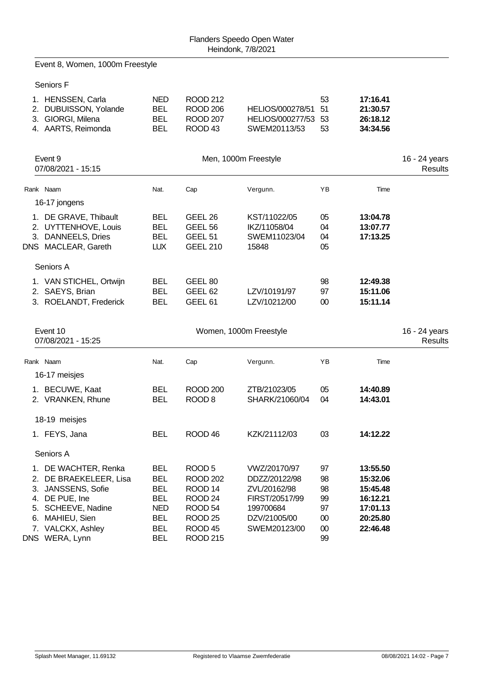Event 8, Women, 1000m Freestyle

Seniors F

| 1. HENSSEN, Carla<br>2. DUBUISSON, Yolande<br>3. GIORGI, Milena<br>4. AARTS, Reimonda      | <b>NED</b><br><b>BEL</b><br><b>BEL</b><br><b>BEL</b> | <b>ROOD 212</b><br><b>ROOD 206</b><br><b>ROOD 207</b><br>ROOD <sub>43</sub> | HELIOS/000278/51<br>HELIOS/000277/53<br>SWEM20113/53  | 53<br>51<br>53<br>53 | 17:16.41<br>21:30.57<br>26:18.12<br>34:34.56 |                                 |
|--------------------------------------------------------------------------------------------|------------------------------------------------------|-----------------------------------------------------------------------------|-------------------------------------------------------|----------------------|----------------------------------------------|---------------------------------|
| Event 9<br>07/08/2021 - 15:15                                                              |                                                      |                                                                             | Men, 1000m Freestyle                                  |                      |                                              | 16 - 24 years<br>Results        |
| Rank Naam                                                                                  | Nat.                                                 | Cap                                                                         | Vergunn.                                              | YB                   | Time                                         |                                 |
| 16-17 jongens                                                                              |                                                      |                                                                             |                                                       |                      |                                              |                                 |
| 1. DE GRAVE, Thibault<br>2. UYTTENHOVE, Louis<br>3. DANNEELS, Dries<br>DNS MACLEAR, Gareth | <b>BEL</b><br><b>BEL</b><br><b>BEL</b><br><b>LUX</b> | GEEL 26<br>GEEL 56<br>GEEL 51<br><b>GEEL 210</b>                            | KST/11022/05<br>IKZ/11058/04<br>SWEM11023/04<br>15848 | 05<br>04<br>04<br>05 | 13:04.78<br>13:07.77<br>17:13.25             |                                 |
| Seniors A                                                                                  |                                                      |                                                                             |                                                       |                      |                                              |                                 |
| 1. VAN STICHEL, Ortwijn<br>2. SAEYS, Brian<br>3. ROELANDT, Frederick                       | <b>BEL</b><br><b>BEL</b><br><b>BEL</b>               | GEEL 80<br>GEEL <sub>62</sub><br>GEEL <sub>61</sub>                         | LZV/10191/97<br>LZV/10212/00                          | 98<br>97<br>00       | 12:49.38<br>15:11.06<br>15:11.14             |                                 |
|                                                                                            |                                                      |                                                                             |                                                       |                      |                                              |                                 |
| Event 10<br>07/08/2021 - 15:25                                                             |                                                      |                                                                             | Women, 1000m Freestyle                                |                      |                                              | 16 - 24 years<br><b>Results</b> |
| Rank Naam                                                                                  | Nat.                                                 |                                                                             |                                                       | ΥB                   | Time                                         |                                 |
| 16-17 meisjes                                                                              |                                                      | Cap                                                                         | Vergunn.                                              |                      |                                              |                                 |
| 1. BECUWE, Kaat<br>2. VRANKEN, Rhune                                                       | <b>BEL</b><br><b>BEL</b>                             | <b>ROOD 200</b><br>ROOD <sub>8</sub>                                        | ZTB/21023/05<br>SHARK/21060/04                        | 05<br>04             | 14:40.89<br>14:43.01                         |                                 |
| 18-19 meisjes                                                                              |                                                      |                                                                             |                                                       |                      |                                              |                                 |
| 1. FEYS, Jana                                                                              | <b>BEL</b>                                           | ROOD <sub>46</sub>                                                          | KZK/21112/03                                          | 03                   | 14:12.22                                     |                                 |
| Seniors A                                                                                  |                                                      |                                                                             |                                                       |                      |                                              |                                 |